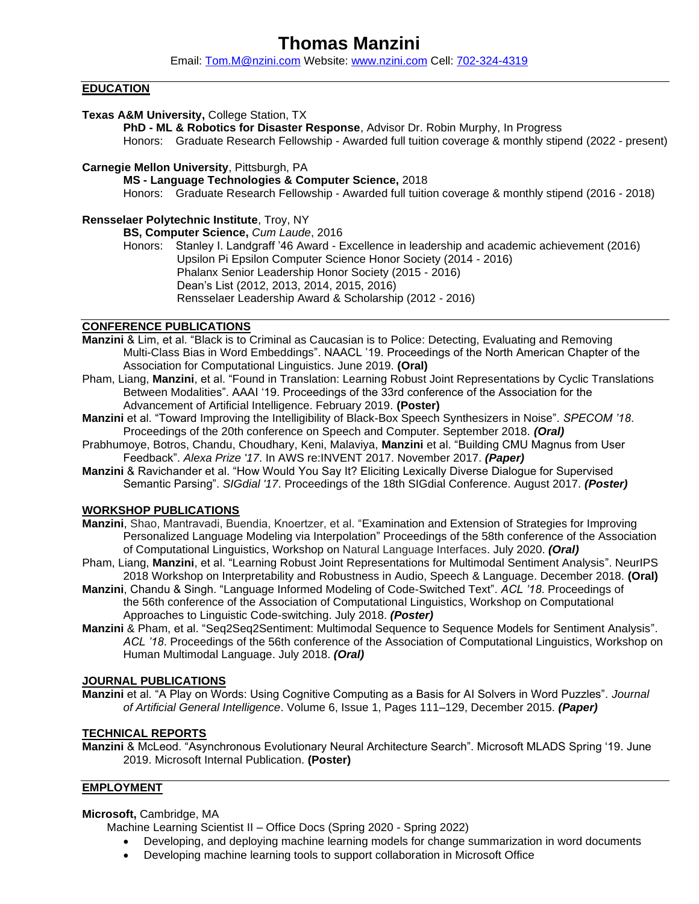# **Thomas Manzini**

Email: [Tom.M@nzini.com](mailto:Tom.M@nzini.com) Website: [www.nzini.com](http://www.nzini.com/) Cell: [702-324-4319](mailto:702-324-4319)

#### **EDUCATION**

#### **Texas A&M University,** College Station, TX

**PhD - ML & Robotics for Disaster Response**, Advisor Dr. Robin Murphy, In Progress Honors:Graduate Research Fellowship - Awarded full tuition coverage & monthly stipend (2022 - present)

#### **Carnegie Mellon University**, Pittsburgh, PA

**MS - Language Technologies & Computer Science,** 2018

Honors:Graduate Research Fellowship - Awarded full tuition coverage & monthly stipend (2016 - 2018)

#### **Rensselaer Polytechnic Institute**, Troy, NY

**BS, Computer Science,** *Cum Laude*, 2016

Honors: Stanley I. Landgraff '46 Award - Excellence in leadership and academic achievement (2016) Upsilon Pi Epsilon Computer Science Honor Society (2014 - 2016) Phalanx Senior Leadership Honor Society (2015 - 2016) Dean's List (2012, 2013, 2014, 2015, 2016) Rensselaer Leadership Award & Scholarship (2012 - 2016)

#### **CONFERENCE PUBLICATIONS**

- **Manzini** & Lim, et al. "Black is to Criminal as Caucasian is to Police: Detecting, Evaluating and Removing Multi-Class Bias in Word Embeddings". NAACL '19. Proceedings of the North American Chapter of the Association for Computational Linguistics. June 2019. **(Oral)**
- Pham, Liang, **Manzini**, et al. "Found in Translation: Learning Robust Joint Representations by Cyclic Translations Between Modalities". AAAI '19. Proceedings of the 33rd conference of the Association for the Advancement of Artificial Intelligence. February 2019. **(Poster)**
- **Manzini** et al. "Toward Improving the Intelligibility of Black-Box Speech Synthesizers in Noise". *SPECOM '18*. Proceedings of the 20th conference on Speech and Computer. September 2018. *(Oral)*
- Prabhumoye, Botros, Chandu, Choudhary, Keni, Malaviya, **Manzini** et al. "Building CMU Magnus from User Feedback". *Alexa Prize '17*. In AWS re:INVENT 2017. November 2017. *(Paper)*
- **Manzini** & Ravichander et al. "How Would You Say It? Eliciting Lexically Diverse Dialogue for Supervised Semantic Parsing". *SIGdial '17*. Proceedings of the 18th SIGdial Conference. August 2017. *(Poster)*

#### **WORKSHOP PUBLICATIONS**

- **Manzini**, Shao, Mantravadi, Buendia, Knoertzer, et al. "Examination and Extension of Strategies for Improving Personalized Language Modeling via Interpolation" Proceedings of the 58th conference of the Association of Computational Linguistics, Workshop on Natural Language Interfaces. July 2020. *(Oral)*
- Pham, Liang, **Manzini**, et al. "Learning Robust Joint Representations for Multimodal Sentiment Analysis". NeurIPS 2018 Workshop on Interpretability and Robustness in Audio, Speech & Language. December 2018. **(Oral)**
- **Manzini**, Chandu & Singh. "Language Informed Modeling of Code-Switched Text". *ACL '18*. Proceedings of the 56th conference of the Association of Computational Linguistics, Workshop on Computational Approaches to Linguistic Code-switching. July 2018. *(Poster)*
- **Manzini** & Pham, et al. "Seq2Seq2Sentiment: Multimodal Sequence to Sequence Models for Sentiment Analysis". *ACL '18*. Proceedings of the 56th conference of the Association of Computational Linguistics, Workshop on Human Multimodal Language. July 2018. *(Oral)*

#### **JOURNAL PUBLICATIONS**

**Manzini** et al. "A Play on Words: Using Cognitive Computing as a Basis for AI Solvers in Word Puzzles". *Journal of Artificial General Intelligence*. Volume 6, Issue 1, Pages 111–129, December 2015. *(Paper)*

#### **TECHNICAL REPORTS**

**Manzini** & McLeod. "Asynchronous Evolutionary Neural Architecture Search". Microsoft MLADS Spring '19. June 2019. Microsoft Internal Publication. **(Poster)**

#### **EMPLOYMENT**

#### **Microsoft,** Cambridge, MA

Machine Learning Scientist II – Office Docs (Spring 2020 - Spring 2022)

- Developing, and deploying machine learning models for change summarization in word documents
- Developing machine learning tools to support collaboration in Microsoft Office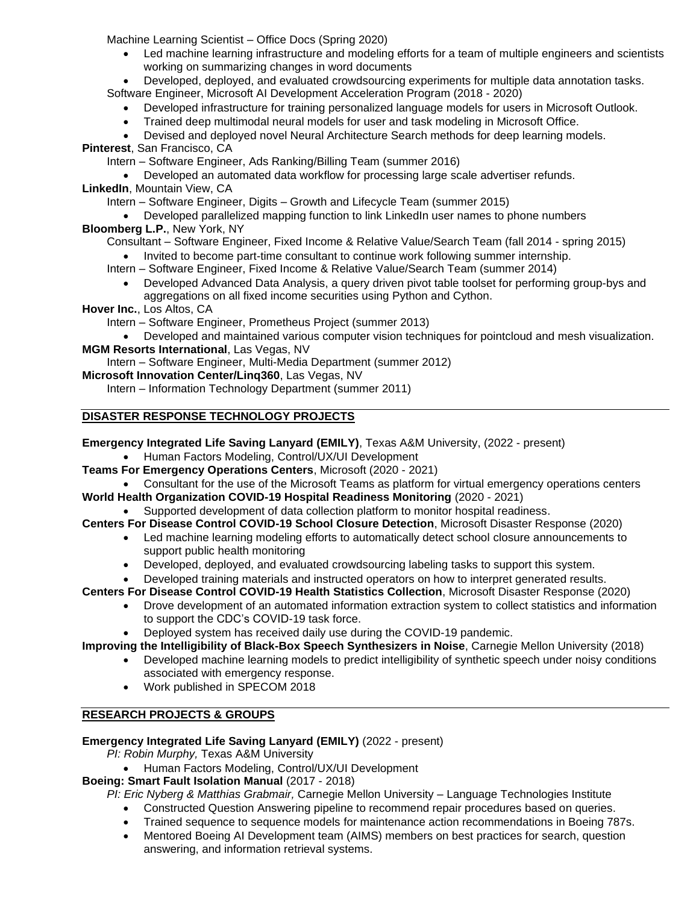Machine Learning Scientist – Office Docs (Spring 2020)

• Led machine learning infrastructure and modeling efforts for a team of multiple engineers and scientists working on summarizing changes in word documents

• Developed, deployed, and evaluated crowdsourcing experiments for multiple data annotation tasks. Software Engineer, Microsoft AI Development Acceleration Program (2018 - 2020)

- Developed infrastructure for training personalized language models for users in Microsoft Outlook.
- Trained deep multimodal neural models for user and task modeling in Microsoft Office.

• Devised and deployed novel Neural Architecture Search methods for deep learning models.

**Pinterest**, San Francisco, CA

Intern – Software Engineer, Ads Ranking/Billing Team (summer 2016)

• Developed an automated data workflow for processing large scale advertiser refunds. **LinkedIn**, Mountain View, CA

Intern – Software Engineer, Digits – Growth and Lifecycle Team (summer 2015)

## • Developed parallelized mapping function to link LinkedIn user names to phone numbers

### **Bloomberg L.P.**, New York, NY

Consultant – Software Engineer, Fixed Income & Relative Value/Search Team (fall 2014 - spring 2015)

- Invited to become part-time consultant to continue work following summer internship.
- Intern Software Engineer, Fixed Income & Relative Value/Search Team (summer 2014)
	- Developed Advanced Data Analysis, a query driven pivot table toolset for performing group-bys and aggregations on all fixed income securities using Python and Cython.

**Hover Inc.**, Los Altos, CA

Intern – Software Engineer, Prometheus Project (summer 2013)

• Developed and maintained various computer vision techniques for pointcloud and mesh visualization. **MGM Resorts International**, Las Vegas, NV

Intern – Software Engineer, Multi-Media Department (summer 2012)

**Microsoft Innovation Center/Linq360**, Las Vegas, NV

Intern – Information Technology Department (summer 2011)

### **DISASTER RESPONSE TECHNOLOGY PROJECTS**

**Emergency Integrated Life Saving Lanyard (EMILY)**, Texas A&M University, (2022 - present)

- Human Factors Modeling, Control/UX/UI Development
- **Teams For Emergency Operations Centers**, Microsoft (2020 2021)
- Consultant for the use of the Microsoft Teams as platform for virtual emergency operations centers **World Health Organization COVID-19 Hospital Readiness Monitoring** (2020 - 2021)
	- Supported development of data collection platform to monitor hospital readiness.
- **Centers For Disease Control COVID-19 School Closure Detection**, Microsoft Disaster Response (2020)
	- Led machine learning modeling efforts to automatically detect school closure announcements to support public health monitoring
		- Developed, deployed, and evaluated crowdsourcing labeling tasks to support this system.
	- Developed training materials and instructed operators on how to interpret generated results.

**Centers For Disease Control COVID-19 Health Statistics Collection**, Microsoft Disaster Response (2020)

- Drove development of an automated information extraction system to collect statistics and information to support the CDC's COVID-19 task force.
- Deployed system has received daily use during the COVID-19 pandemic.

**Improving the Intelligibility of Black-Box Speech Synthesizers in Noise**, Carnegie Mellon University (2018)

- Developed machine learning models to predict intelligibility of synthetic speech under noisy conditions associated with emergency response.
- Work published in SPECOM 2018

#### **RESEARCH PROJECTS & GROUPS**

#### **Emergency Integrated Life Saving Lanyard (EMILY)** (2022 - present)

*PI: Robin Murphy,* Texas A&M University

• Human Factors Modeling, Control/UX/UI Development

**Boeing: Smart Fault Isolation Manual** (2017 - 2018)

*PI: Eric Nyberg & Matthias Grabmair,* Carnegie Mellon University – Language Technologies Institute

- Constructed Question Answering pipeline to recommend repair procedures based on queries.
- Trained sequence to sequence models for maintenance action recommendations in Boeing 787s.
- Mentored Boeing AI Development team (AIMS) members on best practices for search, question answering, and information retrieval systems.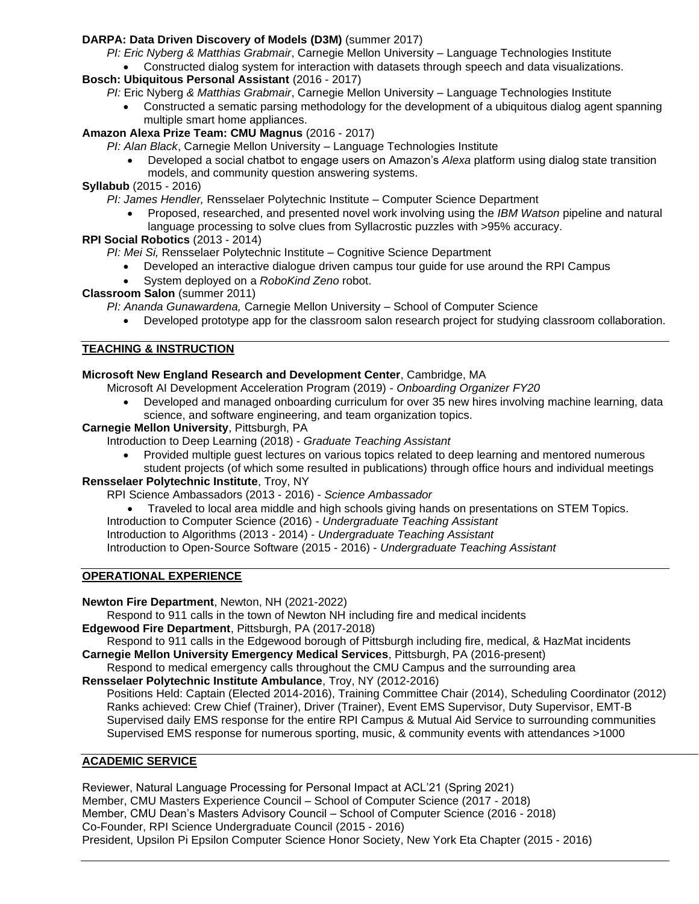### **DARPA: Data Driven Discovery of Models (D3M)** (summer 2017)

- *PI: Eric Nyberg & Matthias Grabmair*, Carnegie Mellon University Language Technologies Institute
	- Constructed dialog system for interaction with datasets through speech and data visualizations.

### **Bosch: Ubiquitous Personal Assistant** (2016 - 2017)

- *PI:* Eric Nyberg *& Matthias Grabmair*, Carnegie Mellon University Language Technologies Institute
	- Constructed a sematic parsing methodology for the development of a ubiquitous dialog agent spanning multiple smart home appliances.

### **Amazon Alexa Prize Team: CMU Magnus** (2016 - 2017)

- *PI: Alan Black*, Carnegie Mellon University Language Technologies Institute
	- Developed a social chatbot to engage users on Amazon's *Alexa* platform using dialog state transition models, and community question answering systems.

### **Syllabub** (2015 - 2016)

*PI: James Hendler,* Rensselaer Polytechnic Institute – Computer Science Department

• Proposed, researched, and presented novel work involving using the *IBM Watson* pipeline and natural language processing to solve clues from Syllacrostic puzzles with >95% accuracy.

### **RPI Social Robotics** (2013 - 2014)

- *PI: Mei Si,* Rensselaer Polytechnic Institute Cognitive Science Department
	- Developed an interactive dialogue driven campus tour guide for use around the RPI Campus
	- System deployed on a *RoboKind Zeno* robot.

### **Classroom Salon** (summer 2011)

*PI: Ananda Gunawardena,* Carnegie Mellon University – School of Computer Science

• Developed prototype app for the classroom salon research project for studying classroom collaboration.

### **TEACHING & INSTRUCTION**

### **Microsoft New England Research and Development Center**, Cambridge, MA

- Microsoft AI Development Acceleration Program (2019) *Onboarding Organizer FY20*
	- Developed and managed onboarding curriculum for over 35 new hires involving machine learning, data science, and software engineering, and team organization topics.

### **Carnegie Mellon University**, Pittsburgh, PA

Introduction to Deep Learning (2018) - *Graduate Teaching Assistant*

• Provided multiple guest lectures on various topics related to deep learning and mentored numerous student projects (of which some resulted in publications) through office hours and individual meetings

#### **Rensselaer Polytechnic Institute**, Troy, NY

RPI Science Ambassadors (2013 - 2016) - *Science Ambassador*

- Traveled to local area middle and high schools giving hands on presentations on STEM Topics.
- Introduction to Computer Science (2016) *Undergraduate Teaching Assistant*

Introduction to Algorithms (2013 - 2014) - *Undergraduate Teaching Assistant*

Introduction to Open-Source Software (2015 - 2016) - *Undergraduate Teaching Assistant*

#### **OPERATIONAL EXPERIENCE**

**Newton Fire Department**, Newton, NH (2021-2022)

Respond to 911 calls in the town of Newton NH including fire and medical incidents

**Edgewood Fire Department**, Pittsburgh, PA (2017-2018)

Respond to 911 calls in the Edgewood borough of Pittsburgh including fire, medical, & HazMat incidents **Carnegie Mellon University Emergency Medical Services**, Pittsburgh, PA (2016-present)

Respond to medical emergency calls throughout the CMU Campus and the surrounding area **Rensselaer Polytechnic Institute Ambulance**, Troy, NY (2012-2016)

Positions Held: Captain (Elected 2014-2016), Training Committee Chair (2014), Scheduling Coordinator (2012) Ranks achieved: Crew Chief (Trainer), Driver (Trainer), Event EMS Supervisor, Duty Supervisor, EMT-B Supervised daily EMS response for the entire RPI Campus & Mutual Aid Service to surrounding communities Supervised EMS response for numerous sporting, music, & community events with attendances >1000

### **ACADEMIC SERVICE**

Reviewer, Natural Language Processing for Personal Impact at ACL'21 (Spring 2021) Member, CMU Masters Experience Council – School of Computer Science (2017 - 2018) Member, CMU Dean's Masters Advisory Council – School of Computer Science (2016 - 2018) Co-Founder, RPI Science Undergraduate Council (2015 - 2016) President, Upsilon Pi Epsilon Computer Science Honor Society, New York Eta Chapter (2015 - 2016)